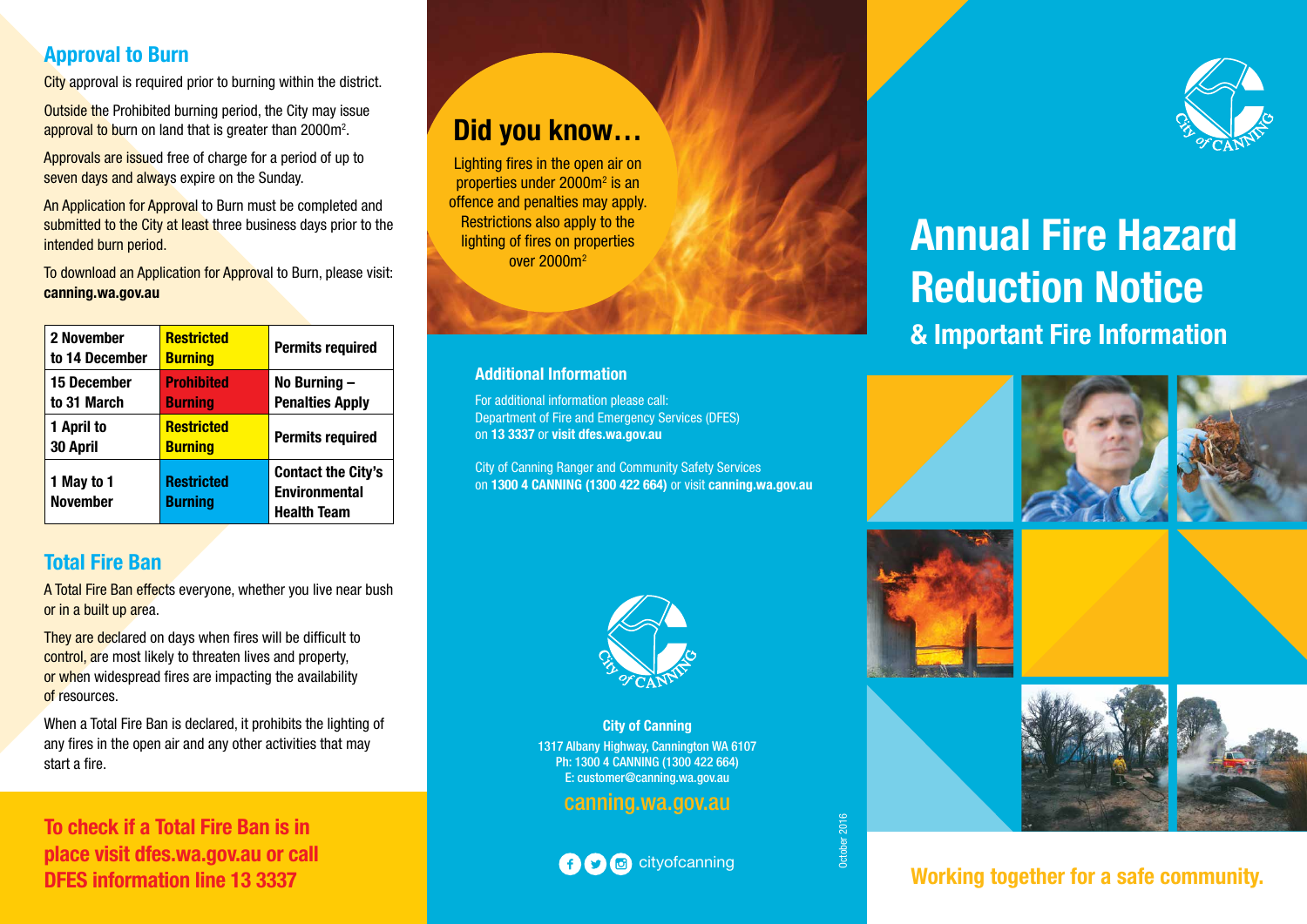#### **Approval to Burn**

**City** approval is required prior to burning within the district.

Outside the Prohibited burning period, the City may issue approval to burn on land that is greater than 2000m<sup>2</sup>.

Approvals are issued free of charge for a period of up to seven days and always expire on the Sunday.

An Application for Approval to Burn must be completed and submitted to the City at least three business days prior to the intended burn period.

To download an Application for Approval to Burn, please visit: **canning.wa.gov.au** 

| 2 November<br>to 14 December      | <b>Restricted</b><br><b>Burning</b> | <b>Permits required</b>                                                 |
|-----------------------------------|-------------------------------------|-------------------------------------------------------------------------|
| <b>15 December</b><br>to 31 March | <b>Prohibited</b><br><b>Burning</b> | No Burning $-$<br><b>Penalties Apply</b>                                |
| 1 April to<br>30 April            | <b>Restricted</b><br><b>Burning</b> | <b>Permits required</b>                                                 |
| 1 May to 1<br><b>November</b>     | <b>Restricted</b><br><b>Burning</b> | <b>Contact the City's</b><br><b>Environmental</b><br><b>Health Team</b> |

#### **Total Fire Ban**

A Total Fire Ban effects everyone, whether you live near bush or in a built up area.

They are declared on days when fires will be difficult to control, are most likely to threaten lives and property, or when widespread fires are impacting the availability of resources.

When a Total Fire Ban is declared, it prohibits the lighting of any fires in the open air and any other activities that may start a fire.

**To check if a Total Fire Ban is in place visit dfes.wa.gov.au or call** 

### **Did you know…**

Lighting fires in the open air on properties under 2000m<sup>2</sup> is an offence and penalties may apply. Restrictions also apply to the lighting of fires on properties over 2000m2

#### **Additional Information**

For additional information please call: Department of Fire and Emergency Services (DFES) on **13 3337** or **visit dfes.wa.gov.au**

City of Canning Ranger and Community Safety Services on **1300 4 CANNING (1300 422 664)** or visit **canning.wa.gov.au**



**City of Canning** 1317 Albany Highway, Cannington WA 6107 Ph: 1300 4 CANNING (1300 422 664) E: customer@canning.wa.gov.au

#### canning.wa.gov.au

cityofcanning

October 2016



## **Annual Fire Hazard Reduction Notice & Important Fire Information**